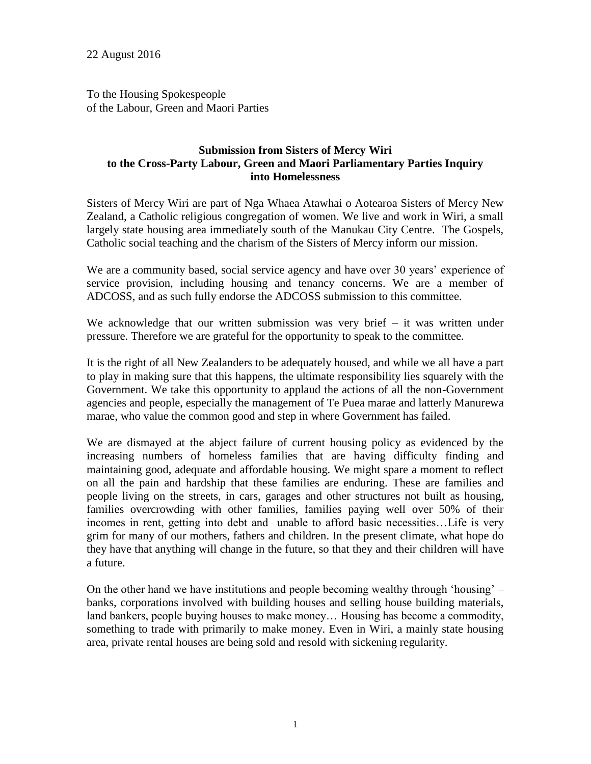To the Housing Spokespeople of the Labour, Green and Maori Parties

# **Submission from Sisters of Mercy Wiri to the Cross-Party Labour, Green and Maori Parliamentary Parties Inquiry into Homelessness**

Sisters of Mercy Wiri are part of Nga Whaea Atawhai o Aotearoa Sisters of Mercy New Zealand, a Catholic religious congregation of women. We live and work in Wiri, a small largely state housing area immediately south of the Manukau City Centre. The Gospels, Catholic social teaching and the charism of the Sisters of Mercy inform our mission.

We are a community based, social service agency and have over 30 years' experience of service provision, including housing and tenancy concerns. We are a member of ADCOSS, and as such fully endorse the ADCOSS submission to this committee.

We acknowledge that our written submission was very brief  $-$  it was written under pressure. Therefore we are grateful for the opportunity to speak to the committee.

It is the right of all New Zealanders to be adequately housed, and while we all have a part to play in making sure that this happens, the ultimate responsibility lies squarely with the Government. We take this opportunity to applaud the actions of all the non-Government agencies and people, especially the management of Te Puea marae and latterly Manurewa marae, who value the common good and step in where Government has failed.

We are dismayed at the abject failure of current housing policy as evidenced by the increasing numbers of homeless families that are having difficulty finding and maintaining good, adequate and affordable housing. We might spare a moment to reflect on all the pain and hardship that these families are enduring. These are families and people living on the streets, in cars, garages and other structures not built as housing, families overcrowding with other families, families paying well over 50% of their incomes in rent, getting into debt and unable to afford basic necessities…Life is very grim for many of our mothers, fathers and children. In the present climate, what hope do they have that anything will change in the future, so that they and their children will have a future.

On the other hand we have institutions and people becoming wealthy through 'housing' – banks, corporations involved with building houses and selling house building materials, land bankers, people buying houses to make money… Housing has become a commodity, something to trade with primarily to make money. Even in Wiri, a mainly state housing area, private rental houses are being sold and resold with sickening regularity.